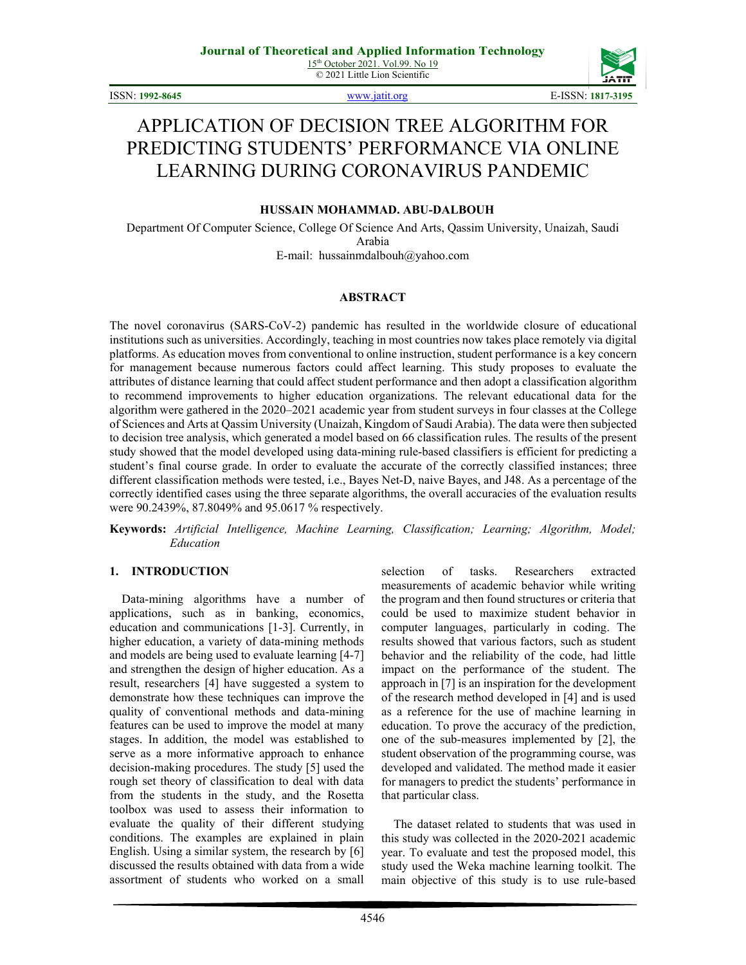© 2021 Little Lion Scientific



ISSN: **1992-8645** [www.jatit.org](http://www.jatit.org/) E-ISSN: **1817-3195**

# APPLICATION OF DECISION TREE ALGORITHM FOR PREDICTING STUDENTS' PERFORMANCE VIA ONLINE LEARNING DURING CORONAVIRUS PANDEMIC

## **HUSSAIN MOHAMMAD. ABU-DALBOUH**

Department Of Computer Science, College Of Science And Arts, Qassim University, Unaizah, Saudi Arabia E-mail: hussainmdalbouh@yahoo.com

#### **ABSTRACT**

The novel coronavirus (SARS-CoV-2) pandemic has resulted in the worldwide closure of educational institutions such as universities. Accordingly, teaching in most countries now takes place remotely via digital platforms. As education moves from conventional to online instruction, student performance is a key concern for management because numerous factors could affect learning. This study proposes to evaluate the attributes of distance learning that could affect student performance and then adopt a classification algorithm to recommend improvements to higher education organizations. The relevant educational data for the algorithm were gathered in the 2020–2021 academic year from student surveys in four classes at the College of Sciences and Arts at Qassim University (Unaizah, Kingdom of Saudi Arabia). The data were then subjected to decision tree analysis, which generated a model based on 66 classification rules. The results of the present study showed that the model developed using data-mining rule-based classifiers is efficient for predicting a student's final course grade. In order to evaluate the accurate of the correctly classified instances; three different classification methods were tested, i.e., Bayes Net-D, naive Bayes, and J48. As a percentage of the correctly identified cases using the three separate algorithms, the overall accuracies of the evaluation results were 90.2439%, 87.8049% and 95.0617 % respectively.

**Keywords:** *Artificial Intelligence, Machine Learning, Classification; Learning; Algorithm, Model; Education*

#### **1. INTRODUCTION**

Data-mining algorithms have a number of applications, such as in banking, economics, education and communications [1-3]. Currently, in higher education, a variety of data-mining methods and models are being used to evaluate learning [4-7] and strengthen the design of higher education. As a result, researchers [4] have suggested a system to demonstrate how these techniques can improve the quality of conventional methods and data-mining features can be used to improve the model at many stages. In addition, the model was established to serve as a more informative approach to enhance decision-making procedures. The study [5] used the rough set theory of classification to deal with data from the students in the study, and the Rosetta toolbox was used to assess their information to evaluate the quality of their different studying conditions. The examples are explained in plain English. Using a similar system, the research by [6] discussed the results obtained with data from a wide assortment of students who worked on a small

selection of tasks. Researchers extracted measurements of academic behavior while writing the program and then found structures or criteria that could be used to maximize student behavior in computer languages, particularly in coding. The results showed that various factors, such as student behavior and the reliability of the code, had little impact on the performance of the student. The approach in [7] is an inspiration for the development of the research method developed in [4] and is used as a reference for the use of machine learning in education. To prove the accuracy of the prediction, one of the sub-measures implemented by [2], the student observation of the programming course, was developed and validated. The method made it easier for managers to predict the students' performance in that particular class.

The dataset related to students that was used in this study was collected in the 2020-2021 academic year. To evaluate and test the proposed model, this study used the Weka machine learning toolkit. The main objective of this study is to use rule-based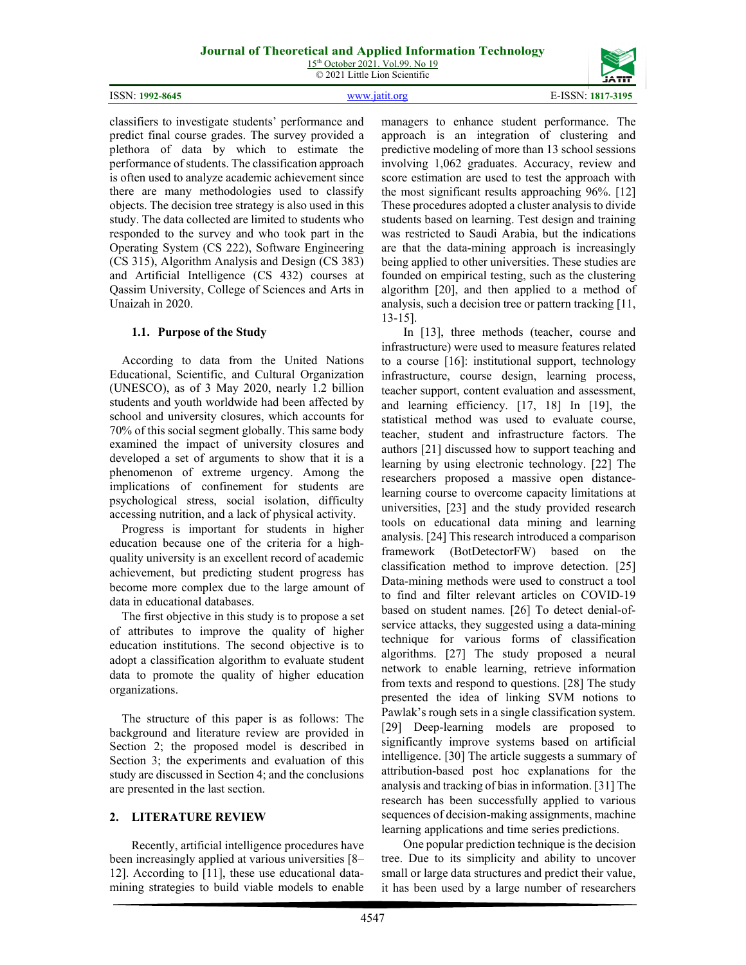15<sup>th</sup> October 2021. Vol.99. No 19 © 2021 Little Lion Scientific

#### ISSN: **1992-8645** [www.jatit.org](http://www.jatit.org/) E-ISSN: **1817-3195**



classifiers to investigate students' performance and predict final course grades. The survey provided a plethora of data by which to estimate the performance of students. The classification approach is often used to analyze academic achievement since there are many methodologies used to classify objects. The decision tree strategy is also used in this study. The data collected are limited to students who responded to the survey and who took part in the Operating System (CS 222), Software Engineering (CS 315), Algorithm Analysis and Design (CS 383) and Artificial Intelligence (CS 432) courses at Qassim University, College of Sciences and Arts in Unaizah in 2020.

# **1.1. Purpose of the Study**

According to data from the United Nations Educational, Scientific, and Cultural Organization (UNESCO), as of 3 May 2020, nearly 1.2 billion students and youth worldwide had been affected by school and university closures, which accounts for 70% of this social segment globally. This same body examined the impact of university closures and developed a set of arguments to show that it is a phenomenon of extreme urgency. Among the implications of confinement for students are psychological stress, social isolation, difficulty accessing nutrition, and a lack of physical activity.

Progress is important for students in higher education because one of the criteria for a highquality university is an excellent record of academic achievement, but predicting student progress has become more complex due to the large amount of data in educational databases.

The first objective in this study is to propose a set of attributes to improve the quality of higher education institutions. The second objective is to adopt a classification algorithm to evaluate student data to promote the quality of higher education organizations.

The structure of this paper is as follows: The background and literature review are provided in Section 2; the proposed model is described in Section 3; the experiments and evaluation of this study are discussed in Section 4; and the conclusions are presented in the last section.

# **2. LITERATURE REVIEW**

Recently, artificial intelligence procedures have been increasingly applied at various universities [8– 12]. According to [11], these use educational datamining strategies to build viable models to enable managers to enhance student performance. The approach is an integration of clustering and predictive modeling of more than 13 school sessions involving 1,062 graduates. Accuracy, review and score estimation are used to test the approach with the most significant results approaching 96%. [12] These procedures adopted a cluster analysis to divide students based on learning. Test design and training was restricted to Saudi Arabia, but the indications are that the data-mining approach is increasingly being applied to other universities. These studies are founded on empirical testing, such as the clustering algorithm [20], and then applied to a method of analysis, such a decision tree or pattern tracking [11, 13-15].

In [13], three methods (teacher, course and infrastructure) were used to measure features related to a course [16]: institutional support, technology infrastructure, course design, learning process, teacher support, content evaluation and assessment, and learning efficiency. [17, 18] In [19], the statistical method was used to evaluate course, teacher, student and infrastructure factors. The authors [21] discussed how to support teaching and learning by using electronic technology. [22] The researchers proposed a massive open distancelearning course to overcome capacity limitations at universities, [23] and the study provided research tools on educational data mining and learning analysis. [24] This research introduced a comparison framework (BotDetectorFW) based on the classification method to improve detection. [25] Data-mining methods were used to construct a tool to find and filter relevant articles on COVID-19 based on student names. [26] To detect denial-ofservice attacks, they suggested using a data-mining technique for various forms of classification algorithms. [27] The study proposed a neural network to enable learning, retrieve information from texts and respond to questions. [28] The study presented the idea of linking SVM notions to Pawlak's rough sets in a single classification system. [29] Deep-learning models are proposed to significantly improve systems based on artificial intelligence. [30] The article suggests a summary of attribution-based post hoc explanations for the analysis and tracking of bias in information. [31] The research has been successfully applied to various sequences of decision-making assignments, machine learning applications and time series predictions.

One popular prediction technique is the decision tree. Due to its simplicity and ability to uncover small or large data structures and predict their value, it has been used by a large number of researchers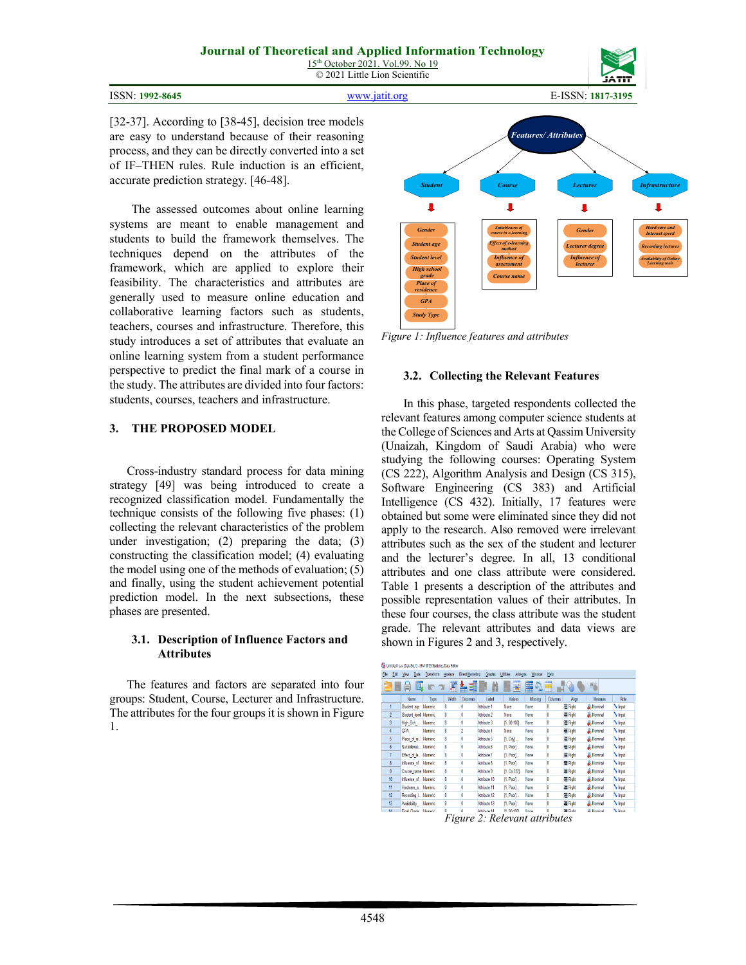|  | ISSN: 1992-8645 |
|--|-----------------|
|--|-----------------|



ISSN: **1992-8645** [www.jatit.org](http://www.jatit.org/) E-ISSN: **1817-3195**

[32-37]. According to [38-45], decision tree models are easy to understand because of their reasoning process, and they can be directly converted into a set of IF–THEN rules. Rule induction is an efficient, accurate prediction strategy. [46-48].

The assessed outcomes about online learning systems are meant to enable management and students to build the framework themselves. The techniques depend on the attributes of the framework, which are applied to explore their feasibility. The characteristics and attributes are generally used to measure online education and collaborative learning factors such as students, teachers, courses and infrastructure. Therefore, this study introduces a set of attributes that evaluate an online learning system from a student performance perspective to predict the final mark of a course in the study. The attributes are divided into four factors: students, courses, teachers and infrastructure.

### **3. THE PROPOSED MODEL**

Cross-industry standard process for data mining strategy [49] was being introduced to create a recognized classification model. Fundamentally the technique consists of the following five phases: (1) collecting the relevant characteristics of the problem under investigation; (2) preparing the data; (3) constructing the classification model; (4) evaluating the model using one of the methods of evaluation; (5) and finally, using the student achievement potential prediction model. In the next subsections, these phases are presented.

### **3.1. Description of Influence Factors and Attributes**

The features and factors are separated into four groups: Student, Course, Lecturer and Infrastructure. The attributes for the four groups it is shown in Figure 1.



*Figure 1: Influence features and attributes*

# **3.2. Collecting the Relevant Features**

In this phase, targeted respondents collected the relevant features among computer science students at the College of Sciences and Arts at Qassim University (Unaizah, Kingdom of Saudi Arabia) who were studying the following courses: Operating System (CS 222), Algorithm Analysis and Design (CS 315), Software Engineering (CS 383) and Artificial Intelligence (CS 432). Initially, 17 features were obtained but some were eliminated since they did not apply to the research. Also removed were irrelevant attributes such as the sex of the student and lecturer and the lecturer's degree. In all, 13 conditional attributes and one class attribute were considered. Table 1 presents a description of the attributes and possible representation values of their attributes. In these four courses, the class attribute was the student grade. The relevant attributes and data views are shown in Figures 2 and 3, respectively.

| File           | Edit | Data<br>View          | Transform | Analyze | Direct Marketing | Graphs       | Add-ons<br>Utilities | Window  | Help           |         |                   |                      |
|----------------|------|-----------------------|-----------|---------|------------------|--------------|----------------------|---------|----------------|---------|-------------------|----------------------|
|                |      | ₹                     |           | Ħ       |                  |              | ¥                    | m<br>Δ, |                | $\Box$  | AB <sub>S</sub>   |                      |
|                |      | Name                  | Type      | Width   | <b>Decimals</b>  | Label        | Values               | Missing | <b>Columns</b> | Alion   | Measure           | Role                 |
|                |      | Student age           | Numeric   |         | 0                | Attribute 1  | None                 | None    | 8              | 三 Right | Mominal           | <b>S</b> Input       |
| $\overline{2}$ |      | Student_level Numeric |           | 8       | 0                | Attribute 2  | None                 | None    | 8              | 三 Right | Mommal            | hput                 |
| 3              |      | High Sch              | Numeric   | Ŕ       | 0                | Attribute 3  | {1,90-100}           | None    | 8              | H Right | <b>A</b> Nominal  | <b>S</b> Input       |
| 4              |      | GPA                   | Numeric   |         | $\overline{c}$   | Attribute 4  | None                 | None    |                | 三 Right | Mominal           | <b>S</b> hout        |
| 6              |      | Place of re           | Numeric   | 8       | 0                | Attribute 5  | {1, City}            | None    | 8              | 三 Right | Nominal           | <b>S</b> Input       |
| 6              |      | Suitablenes.          | Numeric   |         | 0                | Attribute 6  | [1, Poor]            | None    |                | 三 Right | Mominal           | h <sub>1</sub> Input |
| 7              |      | Effect of le Numeric  |           | 8       | 0                | Attribute 7  | (1, Poor)            | None    | 8              | 三 Right | Mominal           | hput                 |
| 8              |      | Influence of          | Numeric   | 8       | 0                | Attribute 8  | $\{1,$ Poor $\}$     | None    | 8              | 三 Right | Mominal           | h <sub>ret</sub>     |
| 9              |      | Course_name Numeric   |           |         | 0                | Attribute 9  | (1, Cs 222)          | None    |                | 三 Right | Mommal            | h <sub>put</sub>     |
| 10             |      | Influence of Numeric  |           | 8       | 0                | Attribute 10 | {1, Poor}            | None    | 8              | H Right | <b>A</b> Nominal  | <b>N</b> Input       |
| 11             |      | Hardware a Numeric    |           | 8       | 0                | Attribute 11 | (1, Poor)            | None    |                | 三 Right | Mominal           | <b>S</b> hout        |
| 12             |      | Recording L., Numeric |           | 8       | 0                | Attribute 12 | (1, Poor)            | None    | 8              | 三 Right | <b>A.</b> Nominal | <b>S</b> Input       |
| 13             |      | Availability  Numeric |           |         | 0                | Attribute 13 | (1, Poor)            | None    |                | = Right | Mommal            | h <sub>put</sub>     |
| $\overline{u}$ |      | Final Grade           | Homarie   |         | 'n               | Attribute 14 | <b>/1.90.1009</b>    | Noon    |                | E Pinkt | <b>J.</b> Nominal | N Innet              |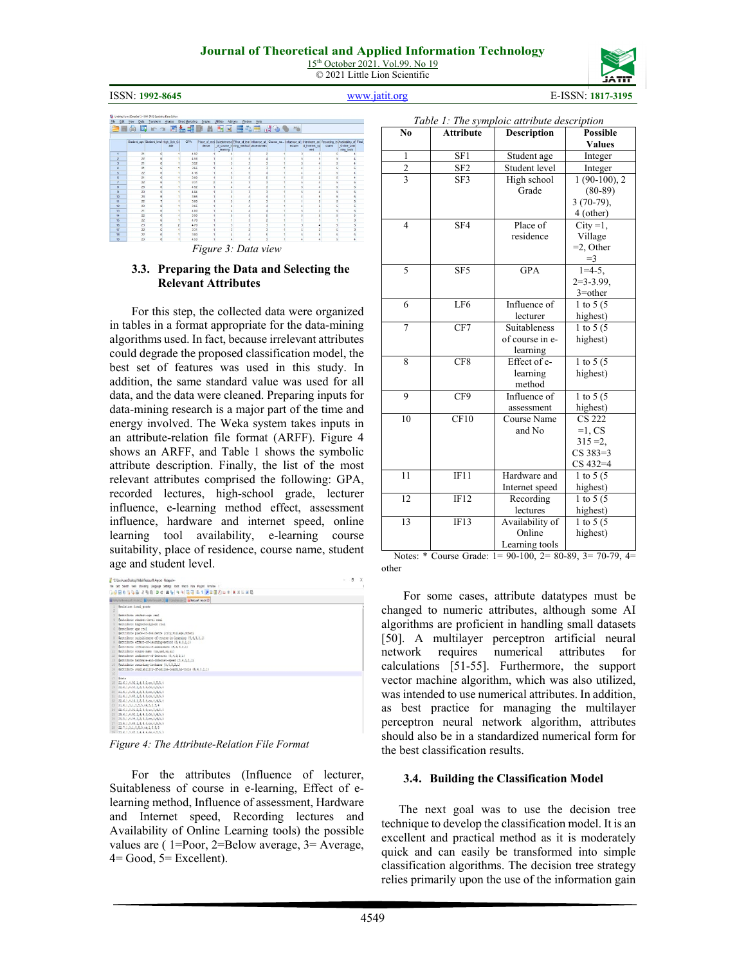15<sup>th</sup> October 2021. Vol.99. No 19 © 2021 Little Lion Scientific



ISSN: **1992-8645** [www.jatit.org](http://www.jatit.org/) E-ISSN: **1817-3195**

| Ele             | Edit View<br>Data | Transform Analyze Direct Marketing    |     |            | Graphs | <b>USITes</b> | Add-ons<br>Window                                                                                        | Help |         |                                                                                       |        |                           |  |
|-----------------|-------------------|---------------------------------------|-----|------------|--------|---------------|----------------------------------------------------------------------------------------------------------|------|---------|---------------------------------------------------------------------------------------|--------|---------------------------|--|
|                 |                   | ● 四 ← → 國品期票 Ⅱ 國図 日本田 ぷ◇●             |     |            |        |               |                                                                                                          |      | 496     |                                                                                       |        |                           |  |
|                 |                   | Student_age Student_level High Sch Gr | ate | <b>GPA</b> | dence  | learning      | Place of resi Suitableness Effect of lear Influence of Course_na.<br>of course in ning method assessment |      | ecturer | Influence of I Hardware an Recording le Availability of Final<br>d_internet_ap<br>eed | ctures | Online_Lear<br>ning tools |  |
|                 | 21                |                                       |     | 4.92       |        |               |                                                                                                          |      |         |                                                                                       |        |                           |  |
| $\overline{2}$  | 22                |                                       |     | 4.68       |        |               |                                                                                                          |      |         |                                                                                       |        |                           |  |
| $\overline{3}$  | 21                |                                       |     | 3.92       |        |               |                                                                                                          |      |         |                                                                                       |        |                           |  |
|                 | 21                |                                       |     | 145        |        |               |                                                                                                          |      |         |                                                                                       |        |                           |  |
|                 | 22                |                                       |     | 4.16       |        |               |                                                                                                          |      |         |                                                                                       |        |                           |  |
|                 | 21                |                                       |     | 3.00       |        |               |                                                                                                          |      |         |                                                                                       |        |                           |  |
|                 | $\overline{22}$   |                                       |     | 3.31       |        |               |                                                                                                          |      |         |                                                                                       |        |                           |  |
| $\overline{a}$  | $^{23}$           |                                       |     | 4.92       |        |               |                                                                                                          |      |         |                                                                                       |        |                           |  |
| $\overline{9}$  | 21                |                                       |     | 4.04       |        |               |                                                                                                          |      |         |                                                                                       |        |                           |  |
| 10              | $_{23}$           |                                       |     | 3.65       |        |               |                                                                                                          |      |         |                                                                                       |        |                           |  |
| 11              | $\overline{22}$   |                                       |     | 3.00       |        |               |                                                                                                          |      |         |                                                                                       |        |                           |  |
| 12              | 23                |                                       |     | 3.65       |        |               |                                                                                                          |      |         |                                                                                       |        |                           |  |
| 13              | 21                |                                       |     | 4.00       |        |               |                                                                                                          |      |         |                                                                                       |        |                           |  |
| M               | 22                |                                       |     | 3.90       |        |               |                                                                                                          |      |         |                                                                                       |        |                           |  |
| <b>SS</b>       | $\overline{22}$   |                                       |     | 4.70       |        |               |                                                                                                          |      |         |                                                                                       |        |                           |  |
| 15              | $^{23}$           | 6                                     |     | 4.70       |        |               | э                                                                                                        |      |         |                                                                                       |        | s.                        |  |
| $\overline{17}$ | $\overline{2}$    |                                       |     | 3.31       |        |               |                                                                                                          |      |         |                                                                                       |        |                           |  |
| 18              | 22                | ç,                                    |     | 3.00       |        |               |                                                                                                          |      |         |                                                                                       |        |                           |  |
| 12              | 20                | 6                                     |     | 4.60       |        | A             |                                                                                                          |      |         | A                                                                                     | 5      |                           |  |

*Figure 3: Data view*

#### **3.3. Preparing the Data and Selecting the Relevant Attributes**

For this step, the collected data were organized in tables in a format appropriate for the data-mining algorithms used. In fact, because irrelevant attributes could degrade the proposed classification model, the best set of features was used in this study. In addition, the same standard value was used for all data, and the data were cleaned. Preparing inputs for data-mining research is a major part of the time and energy involved. The Weka system takes inputs in an attribute-relation file format (ARFF). Figure 4 shows an ARFF, and Table 1 shows the symbolic attribute description. Finally, the list of the most relevant attributes comprised the following: GPA, recorded lectures, high-school grade, lecturer influence, e-learning method effect, assessment influence, hardware and internet speed, online learning tool availability, e-learning course suitability, place of residence, course name, student age and student level.



*Figure 4: The Attribute-Relation File Format*

For the attributes (Influence of lecturer, Suitableness of course in e-learning, Effect of elearning method, Influence of assessment, Hardware and Internet speed, Recording lectures and Availability of Online Learning tools) the possible values are ( 1=Poor, 2=Below average, 3= Average,  $4=$  Good,  $5=$  Excellent).

|                |                  | Table 1: The symploic attribute description |                 |
|----------------|------------------|---------------------------------------------|-----------------|
| N <sub>0</sub> | <b>Attribute</b> | <b>Description</b>                          | <b>Possible</b> |
|                |                  |                                             | <b>Values</b>   |
| $\mathbf{1}$   | SF1              | Student age                                 | Integer         |
| $\frac{2}{3}$  | SF <sub>2</sub>  | Student level                               | Integer         |
|                | SF3              | High school                                 | $1(90-100), 2$  |
|                |                  | Grade                                       | $(80-89)$       |
|                |                  |                                             | $3(70-79),$     |
|                |                  |                                             | 4 (other)       |
| $\overline{4}$ | SF <sub>4</sub>  | Place of                                    | $City = 1$ ,    |
|                |                  | residence                                   | Village         |
|                |                  |                                             | $=$ 2, Other    |
|                |                  |                                             | $=$ 3           |
| 5              | SF <sub>5</sub>  | <b>GPA</b>                                  | $1=4-5$ ,       |
|                |                  |                                             | $2=3-3.99$ ,    |
|                |                  |                                             | $3$ =other      |
| 6              | LF <sub>6</sub>  | Influence of                                | 1 to 5 $(5$     |
|                |                  | lecturer                                    | highest)        |
| $\overline{7}$ | CF7              | Suitableness                                | 1 to 5 $(5$     |
|                |                  | of course in e-                             | highest)        |
|                |                  | learning                                    |                 |
| 8              | CF8              | Effect of e-                                | 1 to 5 $(5$     |
|                |                  | learning                                    | highest)        |
|                |                  | method                                      |                 |
| 9              | CF9              | Influence of                                | 1 to 5 $(5$     |
|                |                  | assessment                                  | highest)        |
| 10             | CF10             | Course Name                                 | <b>CS 222</b>   |
|                |                  | and No                                      | $=1$ , CS       |
|                |                  |                                             | $315 = 2$ ,     |
|                |                  |                                             | $CS 383 = 3$    |
|                |                  |                                             | $CS 432 = 4$    |
| 11             | IF11             | Hardware and                                | 1 to 5 $(5$     |
|                |                  | Internet speed                              | highest)        |
| 12             | IF12             | Recording                                   | 1 to 5 $(5$     |
|                |                  | lectures                                    | highest)        |
| 13             | IF13             | Availability of                             | 1 to 5 $(5$     |
|                |                  | Online                                      | highest)        |
|                |                  | Learning tools                              |                 |

Notes: \* Course Grade: 1= 90-100, 2= 80-89, 3= 70-79, 4= other

For some cases, attribute datatypes must be changed to numeric attributes, although some AI algorithms are proficient in handling small datasets [50]. A multilayer perceptron artificial neural network requires numerical attributes for calculations [51-55]. Furthermore, the support vector machine algorithm, which was also utilized, was intended to use numerical attributes. In addition, as best practice for managing the multilayer perceptron neural network algorithm, attributes should also be in a standardized numerical form for the best classification results.

### **3.4. Building the Classification Model**

The next goal was to use the decision tree technique to develop the classification model. It is an excellent and practical method as it is moderately quick and can easily be transformed into simple classification algorithms. The decision tree strategy relies primarily upon the use of the information gain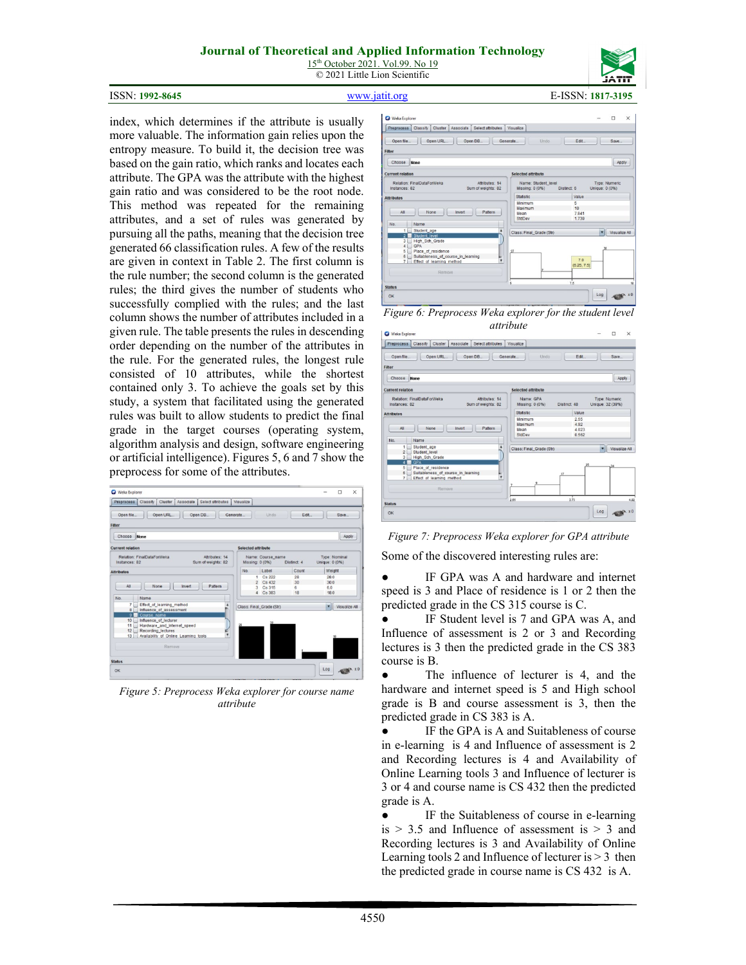15<sup>th</sup> October 2021. Vol.99. No 19 © 2021 Little Lion Scientific

# ISSN: **1992-8645** [www.jatit.org](http://www.jatit.org/) E-ISSN: **1817-3195**

index, which determines if the attribute is usually more valuable. The information gain relies upon the entropy measure. To build it, the decision tree was based on the gain ratio, which ranks and locates each attribute. The GPA was the attribute with the highest gain ratio and was considered to be the root node. This method was repeated for the remaining attributes, and a set of rules was generated by pursuing all the paths, meaning that the decision tree generated 66 classification rules. A few of the results are given in context in Table 2. The first column is the rule number; the second column is the generated rules; the third gives the number of students who successfully complied with the rules; and the last column shows the number of attributes included in a given rule. The table presents the rules in descending order depending on the number of the attributes in the rule. For the generated rules, the longest rule consisted of 10 attributes, while the shortest contained only 3. To achieve the goals set by this study, a system that facilitated using the generated rules was built to allow students to predict the final grade in the target courses (operating system, algorithm analysis and design, software engineering or artificial intelligence). Figures 5, 6 and 7 show the preprocess for some of the attributes.



*Figure 5: Preprocess Weka explorer for course name attribute*



*Figure 6: Preprocess Weka explorer for the student level attribute*

| Weka Explorer                                                                                                                         | www.cowo                                    | $\times$<br>$\Box$                |
|---------------------------------------------------------------------------------------------------------------------------------------|---------------------------------------------|-----------------------------------|
| Preprocess<br>Classify<br>Cluster<br>Select attributes<br>Associate                                                                   | Visualize                                   |                                   |
| Open file<br>Open URL<br>Open DB<br>Filter                                                                                            | Generate<br>Undo                            | Save<br>Edit                      |
| Choose<br>None                                                                                                                        |                                             | Apply                             |
| <b>Current relation</b>                                                                                                               | <b>Selected attribute</b>                   |                                   |
| Relation: FinalDataForWeka<br>Affributes: 14<br>Instances: 82<br>Sum of weights: 82                                                   | Name: GPA<br>Missing: 0 (0%)<br>Distinct 48 | Type: Numeric<br>Unique: 32 (39%) |
| <b>Attributes</b>                                                                                                                     | Statistic                                   | Value                             |
| Pattern<br>All<br>None<br>Invert<br>No.<br>Name                                                                                       | Minimum<br>Maximum<br>Mean<br>StdDev        | 2.55<br>4.92<br>4.023<br>0.562    |
| Student_age<br>11<br>2 <sup>2</sup><br>Student level<br>3<br>High_Sch_Grade<br><b>GPA</b><br>$\overline{a}$                           | Class: Final_Grade (Str)                    | Visualize All<br>$^{24}$          |
| Place of residence<br>5 <sub>1</sub><br>6 <sup>5</sup><br>Suitableness of course in learning<br>۲,<br>71<br>Effect of learning method |                                             |                                   |
| Remove.                                                                                                                               | 3.73<br>2.55                                |                                   |
| <b>Status</b><br>OK                                                                                                                   |                                             | Log                               |

*Figure 7: Preprocess Weka explorer for GPA attribute*

Some of the discovered interesting rules are:

● IF GPA was A and hardware and internet speed is 3 and Place of residence is 1 or 2 then the predicted grade in the CS 315 course is C.

● IF Student level is 7 and GPA was A, and Influence of assessment is 2 or 3 and Recording lectures is 3 then the predicted grade in the CS 383 course is B.

● The influence of lecturer is 4, and the hardware and internet speed is 5 and High school grade is B and course assessment is 3, then the predicted grade in CS 383 is A.

IF the GPA is A and Suitableness of course in e-learning is 4 and Influence of assessment is 2 and Recording lectures is 4 and Availability of Online Learning tools 3 and Influence of lecturer is 3 or 4 and course name is CS 432 then the predicted grade is A.

IF the Suitableness of course in e-learning is  $> 3.5$  and Influence of assessment is  $> 3$  and Recording lectures is 3 and Availability of Online Learning tools 2 and Influence of lecturer is > 3 then the predicted grade in course name is CS 432 is A.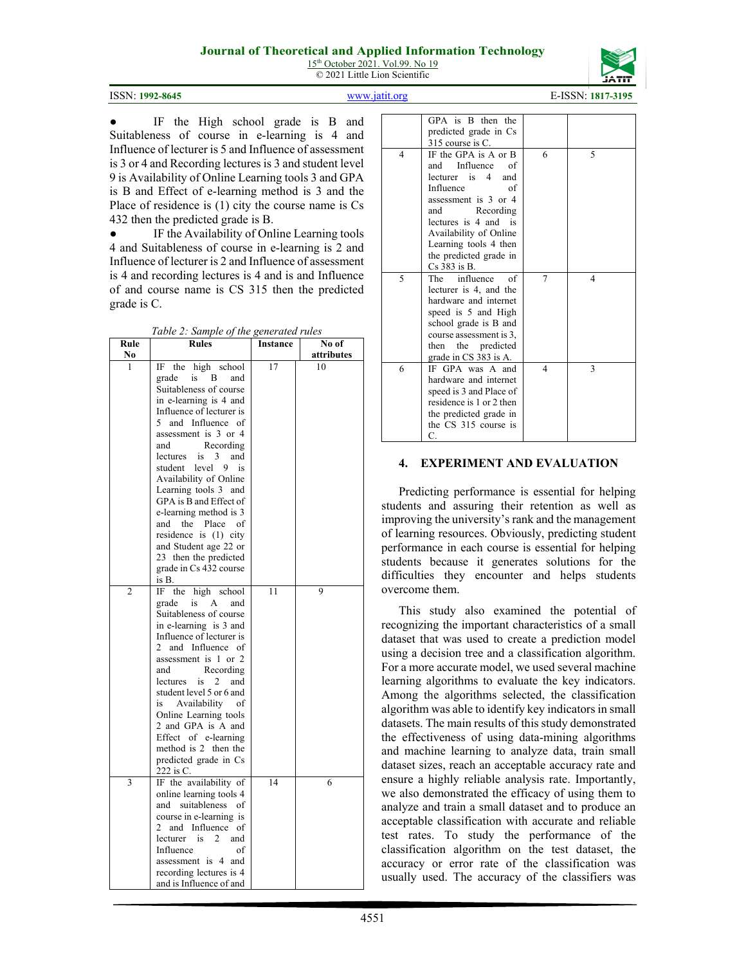15<sup>th</sup> October 2021. Vol.99. No 19 © 2021 Little Lion Scientific



ISSN: **1992-8645** [www.jatit.org](http://www.jatit.org/) E-ISSN: **1817-3195**

● IF the High school grade is B and Suitableness of course in e-learning is 4 and Influence of lecturer is 5 and Influence of assessment is 3 or 4 and Recording lectures is 3 and student level 9 is Availability of Online Learning tools 3 and GPA is B and Effect of e-learning method is 3 and the Place of residence is (1) city the course name is Cs 432 then the predicted grade is B.

IF the Availability of Online Learning tools 4 and Suitableness of course in e-learning is 2 and Influence of lecturer is 2 and Influence of assessment is 4 and recording lectures is 4 and is and Influence of and course name is CS 315 then the predicted grade is C.

*Table 2: Sample of the generated rules*

| Rule           | <b>Rules</b>                         | Instance | No of      |
|----------------|--------------------------------------|----------|------------|
| No             |                                      |          | attributes |
| 1              | IF the<br>high<br>school             | 17       | 10         |
|                | grade<br>is<br>B<br>and              |          |            |
|                | Suitableness of course               |          |            |
|                | in e-learning is 4 and               |          |            |
|                | Influence of lecturer is             |          |            |
|                | and Influence of<br>5.               |          |            |
|                | assessment is 3 or 4                 |          |            |
|                | Recording<br>and                     |          |            |
|                | 3<br>lectures<br>is<br>and           |          |            |
|                | student<br>level<br>9<br>is          |          |            |
|                | Availability of Online               |          |            |
|                | Learning tools 3 and                 |          |            |
|                | GPA is B and Effect of               |          |            |
|                | e-learning method is 3               |          |            |
|                | the Place<br>and<br>оf               |          |            |
|                | residence is $(1)$ city              |          |            |
|                | and Student age 22 or                |          |            |
|                | 23 then the predicted                |          |            |
|                | grade in Cs 432 course               |          |            |
|                | is B.                                |          |            |
| $\overline{c}$ | IF<br>the<br>high school             | 11       | 9          |
|                | grade<br>is<br>A<br>and              |          |            |
|                | Suitableness of course               |          |            |
|                | in e-learning is 3 and               |          |            |
|                | Influence of lecturer is             |          |            |
|                | and Influence<br>2<br>οf             |          |            |
|                | assessment is 1 or 2                 |          |            |
|                | Recording<br>and                     |          |            |
|                | <i>lectures</i><br>is<br>2<br>and    |          |            |
|                | student level 5 or 6 and             |          |            |
|                | Availability<br>оf<br>is             |          |            |
|                | Online Learning tools                |          |            |
|                | 2 and GPA is A and                   |          |            |
|                | Effect of e-learning                 |          |            |
|                | method is 2 then the                 |          |            |
|                | predicted grade in Cs                |          |            |
|                | 222 is C.                            |          |            |
| 3              | IF the availability of               | 14       | 6          |
|                | online learning tools 4              |          |            |
|                | and suitableness<br>оf               |          |            |
|                | course in e-learning is              |          |            |
|                | and Influence<br>2<br>οf             |          |            |
|                | $\overline{c}$<br>lecturer is<br>and |          |            |
|                | Influence<br>of                      |          |            |
|                | assessment is 4 and                  |          |            |
|                | recording lectures is 4              |          |            |
|                | and is Influence of and              |          |            |

|   | GPA is B then the        |   |   |
|---|--------------------------|---|---|
|   | predicted grade in Cs    |   |   |
|   | 315 course is C.         |   |   |
| 4 | IF the GPA is A or B     | 6 | 5 |
|   | and Influence<br>of      |   |   |
|   | lecturer is 4<br>and     |   |   |
|   | Influence<br>of          |   |   |
|   | assessment is 3 or 4     |   |   |
|   | Recording<br>and         |   |   |
|   | lectures is 4 and is     |   |   |
|   |                          |   |   |
|   | Availability of Online   |   |   |
|   | Learning tools 4 then    |   |   |
|   | the predicted grade in   |   |   |
|   | $Cs$ 383 is B.           |   |   |
| 5 | The influence<br>of      | 7 | 4 |
|   | lecturer is 4, and the   |   |   |
|   | hardware and internet    |   |   |
|   | speed is 5 and High      |   |   |
|   | school grade is B and    |   |   |
|   | course assessment is 3,  |   |   |
|   | then the predicted       |   |   |
|   | grade in CS 383 is A.    |   |   |
| 6 | IF GPA was A and         | 4 | 3 |
|   | hardware and internet    |   |   |
|   | speed is 3 and Place of  |   |   |
|   | residence is 1 or 2 then |   |   |
|   | the predicted grade in   |   |   |
|   | the CS 315 course is     |   |   |
|   | C.                       |   |   |
|   |                          |   |   |

### **4. EXPERIMENT AND EVALUATION**

Predicting performance is essential for helping students and assuring their retention as well as improving the university's rank and the management of learning resources. Obviously, predicting student performance in each course is essential for helping students because it generates solutions for the difficulties they encounter and helps students overcome them.

This study also examined the potential of recognizing the important characteristics of a small dataset that was used to create a prediction model using a decision tree and a classification algorithm. For a more accurate model, we used several machine learning algorithms to evaluate the key indicators. Among the algorithms selected, the classification algorithm was able to identify key indicators in small datasets. The main results of this study demonstrated the effectiveness of using data-mining algorithms and machine learning to analyze data, train small dataset sizes, reach an acceptable accuracy rate and ensure a highly reliable analysis rate. Importantly, we also demonstrated the efficacy of using them to analyze and train a small dataset and to produce an acceptable classification with accurate and reliable test rates. To study the performance of the classification algorithm on the test dataset, the accuracy or error rate of the classification was usually used. The accuracy of the classifiers was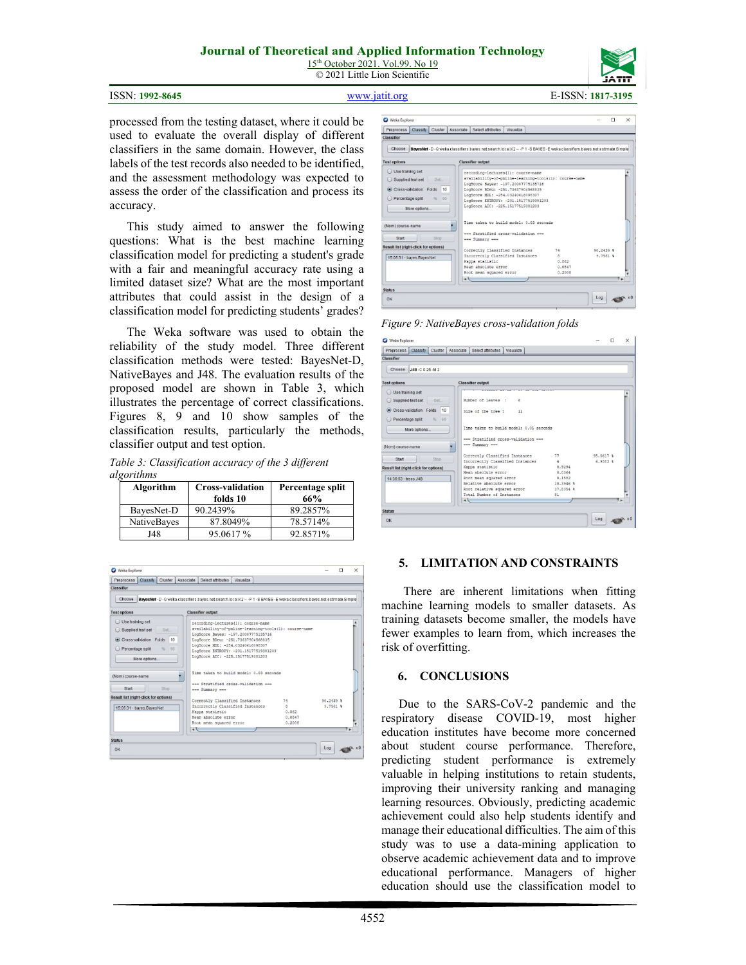15<sup>th</sup> October 2021. Vol.99. No 19 © 2021 Little Lion Scientific





ISSN: **1992-8645** [www.jatit.org](http://www.jatit.org/) E-ISSN: **1817-3195**

processed from the testing dataset, where it could be used to evaluate the overall display of different classifiers in the same domain. However, the class labels of the test records also needed to be identified, and the assessment methodology was expected to assess the order of the classification and process its accuracy.

This study aimed to answer the following questions: What is the best machine learning classification model for predicting a student's grade with a fair and meaningful accuracy rate using a limited dataset size? What are the most important attributes that could assist in the design of a classification model for predicting students' grades?

The Weka software was used to obtain the reliability of the study model. Three different classification methods were tested: BayesNet-D, NativeBayes and J48. The evaluation results of the proposed model are shown in Table 3, which illustrates the percentage of correct classifications. Figures 8, 9 and 10 show samples of the classification results, particularly the methods, classifier output and test option.

*Table 3: Classification accuracy of the 3 different algorithms* 

| Algorithm   | <b>Cross-validation</b><br>folds 10 | Percentage split<br>66% |
|-------------|-------------------------------------|-------------------------|
| BayesNet-D  | 90.2439%                            | 89.2857%                |
| NativeBayes | 87.8049%                            | 78.5714%                |
| J48         | 95.0617 %                           | 92.8571%                |



| Weka Explorer                                                                                                                  |                                                                                                                                                                                                                                                                                                 |                                                   |                          | п<br>$\times$ |
|--------------------------------------------------------------------------------------------------------------------------------|-------------------------------------------------------------------------------------------------------------------------------------------------------------------------------------------------------------------------------------------------------------------------------------------------|---------------------------------------------------|--------------------------|---------------|
| <b>Preprocess</b><br>Classify<br>Cluster                                                                                       | Associate<br>Select attributes<br><b>Visualize</b>                                                                                                                                                                                                                                              |                                                   |                          |               |
| Classifier                                                                                                                     |                                                                                                                                                                                                                                                                                                 |                                                   |                          |               |
| Choose                                                                                                                         | BayesNet -D -Q weka classifiers bayes net search local K2 --- P 1 -S BAYES -E weka classifiers bayes net estimate Simple                                                                                                                                                                        |                                                   |                          |               |
| <b>Test options</b>                                                                                                            | <b>Classifier output</b>                                                                                                                                                                                                                                                                        |                                                   |                          |               |
| O Use training set<br>Supplied test set<br>Set.<br>Cross-validation Folds<br>10<br>Percentage split<br>66<br>%<br>More options | recording-lectures (1) : course-name<br>availability-of-pnline-learning-tools(1): course-name<br>LogScore Bayes: -197.20007775135716<br>LogScore BDeu: - 251,73637904568835<br>LogScore MDL: -254.03240616098307<br>LogScore ENTROPY: - 201.15177519381203<br>LogScore AIC: -225.15177519381203 |                                                   |                          | $\Delta$      |
| (Nom) course-name<br>Start<br>Stop                                                                                             | Time taken to build model: 0.03 seconds<br>--- Stratified cross-validation --<br>--- Summary ---                                                                                                                                                                                                |                                                   |                          |               |
| <b>Result list (right-click for options)</b><br>15:05:31 - bayes.BayesNet                                                      | Correctly Classified Instances<br>Incorrectly Classified Instances<br>Kappa statistic<br>Mean absolute error<br>Root mean squared error                                                                                                                                                         | 74<br>$\mathfrak{R}$<br>0.862<br>0.0847<br>0.2008 | $90.2439$ \$<br>9.7561 % |               |
| <b>Status</b>                                                                                                                  | $\leftarrow$                                                                                                                                                                                                                                                                                    |                                                   |                          |               |
|                                                                                                                                |                                                                                                                                                                                                                                                                                                 |                                                   | Log                      |               |

*Figure 9: NativeBayes cross-validation folds*

| Weka Explorer                                         |                                                                 |                             |               |                                                                                                                                       |                                                                                           |                                        |                           | п | $\times$ |
|-------------------------------------------------------|-----------------------------------------------------------------|-----------------------------|---------------|---------------------------------------------------------------------------------------------------------------------------------------|-------------------------------------------------------------------------------------------|----------------------------------------|---------------------------|---|----------|
| Preprocess                                            | <b>Classify</b>                                                 | Cluster                     | Associate     | Select attributes                                                                                                                     | Visualize                                                                                 |                                        |                           |   |          |
| Classifier                                            |                                                                 |                             |               |                                                                                                                                       |                                                                                           |                                        |                           |   |          |
| Choose J48 -C 0.25 -M 2                               |                                                                 |                             |               |                                                                                                                                       |                                                                                           |                                        |                           |   |          |
| <b>Test options</b>                                   |                                                                 |                             |               | <b>Classifier output</b>                                                                                                              |                                                                                           |                                        |                           |   |          |
| Use training set<br>Percentage split                  | Supplied test set Set<br>Cross-validation Folds<br>More options | 10<br>66<br>$\eta_{\rm in}$ |               | Number of Leaves :<br>Size of the tree :                                                                                              | 6<br>11<br>Time taken to build model: 0.05 seconds<br>--- Stratified cross-validation --- |                                        |                           |   | ۸        |
| (Nom) course-name                                     |                                                                 |                             |               | --- Summary ---                                                                                                                       |                                                                                           |                                        |                           |   |          |
| Start<br><b>Result list (right-click for options)</b> |                                                                 | Stop                        |               | Correctly Classified Instances<br>Kappa statistic                                                                                     | Incorrectly Classified Instances                                                          | 77<br>ă<br>0.9294<br>0.0364            | 95.0617 %<br>$4.9383$ $%$ |   |          |
| 14:36:53 - trees.J48                                  |                                                                 |                             | $\rightarrow$ | Mean absolute error<br>Root mean squared error<br>Relative absolute error<br>Root relative squared error<br>Total Number of Instances |                                                                                           | 0.1582<br>10,3946 %<br>37.8354 %<br>81 |                           |   | ٠.       |
| <b>Status</b>                                         |                                                                 |                             |               |                                                                                                                                       |                                                                                           |                                        |                           |   |          |
| OK                                                    |                                                                 |                             |               |                                                                                                                                       |                                                                                           |                                        | Log                       |   |          |

### **5. LIMITATION AND CONSTRAINTS**

There are inherent limitations when fitting machine learning models to smaller datasets. As training datasets become smaller, the models have fewer examples to learn from, which increases the risk of overfitting.

#### **6. CONCLUSIONS**

Due to the SARS-CoV-2 pandemic and the respiratory disease COVID-19, most higher education institutes have become more concerned about student course performance. Therefore, predicting student performance is extremely valuable in helping institutions to retain students, improving their university ranking and managing learning resources. Obviously, predicting academic achievement could also help students identify and manage their educational difficulties. The aim of this study was to use a data-mining application to observe academic achievement data and to improve educational performance. Managers of higher education should use the classification model to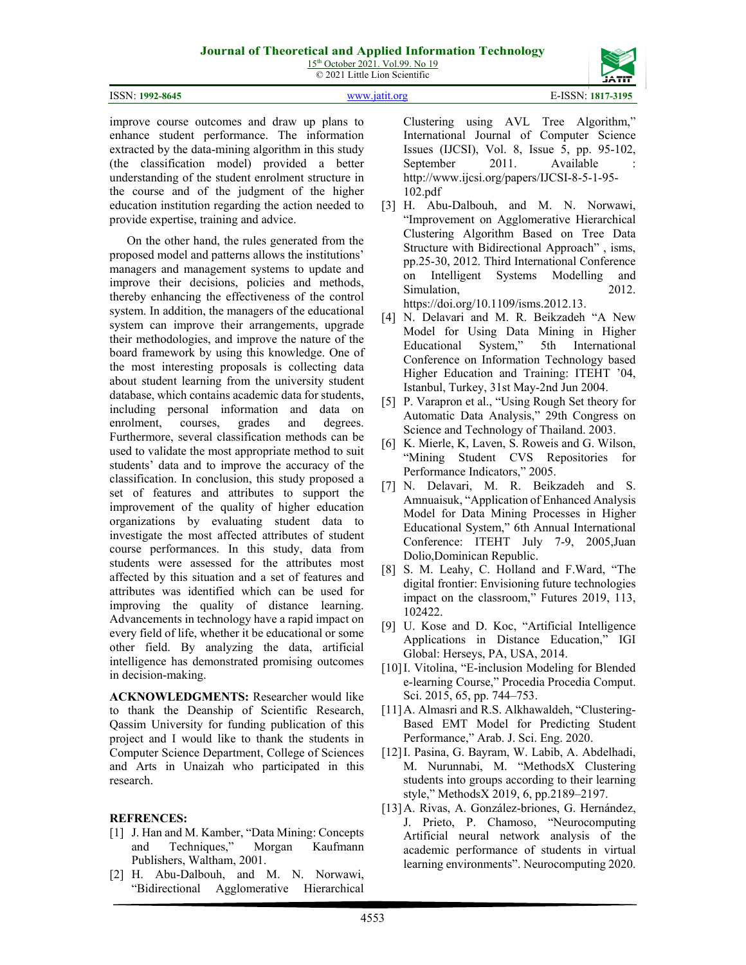15<sup>th</sup> October 2021. Vol.99. No 19 © 2021 Little Lion Scientific

| <b>ISSN: 1992-8645</b> |  |
|------------------------|--|
|                        |  |

improve course outcomes and draw up plans to enhance student performance. The information extracted by the data-mining algorithm in this study (the classification model) provided a better understanding of the student enrolment structure in the course and of the judgment of the higher education institution regarding the action needed to provide expertise, training and advice.

On the other hand, the rules generated from the proposed model and patterns allows the institutions' managers and management systems to update and improve their decisions, policies and methods, thereby enhancing the effectiveness of the control system. In addition, the managers of the educational system can improve their arrangements, upgrade their methodologies, and improve the nature of the board framework by using this knowledge. One of the most interesting proposals is collecting data about student learning from the university student database, which contains academic data for students, including personal information and data on<br>enrolment, courses, grades and degrees. enrolment, courses, grades and Furthermore, several classification methods can be used to validate the most appropriate method to suit students' data and to improve the accuracy of the classification. In conclusion, this study proposed a set of features and attributes to support the improvement of the quality of higher education organizations by evaluating student data to investigate the most affected attributes of student course performances. In this study, data from students were assessed for the attributes most affected by this situation and a set of features and attributes was identified which can be used for improving the quality of distance learning. Advancements in technology have a rapid impact on every field of life, whether it be educational or some other field. By analyzing the data, artificial intelligence has demonstrated promising outcomes in decision-making.

**ACKNOWLEDGMENTS:** Researcher would like to thank the Deanship of Scientific Research, Qassim University for funding publication of this project and I would like to thank the students in Computer Science Department, College of Sciences and Arts in Unaizah who participated in this research.

### **REFRENCES:**

- [1] J. Han and M. Kamber, "Data Mining: Concepts" and Techniques," Morgan Kaufmann Publishers, Waltham, 2001.
- [2] H. Abu-Dalbouh, and M. N. Norwawi, "Bidirectional Agglomerative Hierarchical

Clustering using AVL Tree Algorithm," International Journal of Computer Science Issues (IJCSI), Vol. 8, Issue 5, pp. 95-102, September 2011. Available [http://www.ijcsi.org/papers/IJCSI-8-5-1-95-](http://www.ijcsi.org/papers/IJCSI-8-5-1-95-102.pdf) [102.pdf](http://www.ijcsi.org/papers/IJCSI-8-5-1-95-102.pdf)

[3] H. Abu-Dalbouh, and M. N. Norwawi, "Improvement on Agglomerative Hierarchical Clustering Algorithm Based on Tree Data Structure with Bidirectional Approach" , isms, pp.25-30, 2012. Third International Conference on Intelligent Systems Modelling and Simulation, 2012.

[https://doi.org/10.1109/isms.2012.13.](https://doi.org/10.1109/isms.2012.13)

- [4] N. Delavari and M. R. Beikzadeh "A New Model for Using Data Mining in Higher Educational System," 5th International Conference on Information Technology based Higher Education and Training: ITEHT '04, Istanbul, Turkey, 31st May-2nd Jun 2004.
- [5] P. Varapron et al., "Using Rough Set theory for Automatic Data Analysis," 29th Congress on Science and Technology of Thailand. 2003.
- [6] K. Mierle, K., Laven, S. Roweis and G. Wilson, "Mining Student CVS Repositories for Performance Indicators," 2005.
- [7] N. Delavari, M. R. Beikzadeh and S. Amnuaisuk, "Application of Enhanced Analysis Model for Data Mining Processes in Higher Educational System," 6th Annual International Conference: ITEHT July 7-9, 2005,Juan Dolio,Dominican Republic.
- [8] S. M. Leahy, C. Holland and F.Ward, "The digital frontier: Envisioning future technologies impact on the classroom," Futures 2019, 113, 102422.
- [9] U. Kose and D. Koc, "Artificial Intelligence Applications in Distance Education," IGI Global: Herseys, PA, USA, 2014.
- [10] I. Vitolina, "E-inclusion Modeling for Blended e-learning Course," Procedia Procedia Comput. Sci. 2015, 65, pp. 744–753.
- [11] A. Almasri and R.S. Alkhawaldeh, "Clustering-Based EMT Model for Predicting Student Performance," Arab. J. Sci. Eng. 2020.
- [12]I. Pasina, G. Bayram, W. Labib, A. Abdelhadi, M. Nurunnabi, M. "MethodsX Clustering students into groups according to their learning style," MethodsX 2019, 6, pp.2189–2197.
- [13]A. Rivas, A. González-briones, G. Hernández, J. Prieto, P. Chamoso, "Neurocomputing Artificial neural network analysis of the academic performance of students in virtual learning environments". Neurocomputing 2020.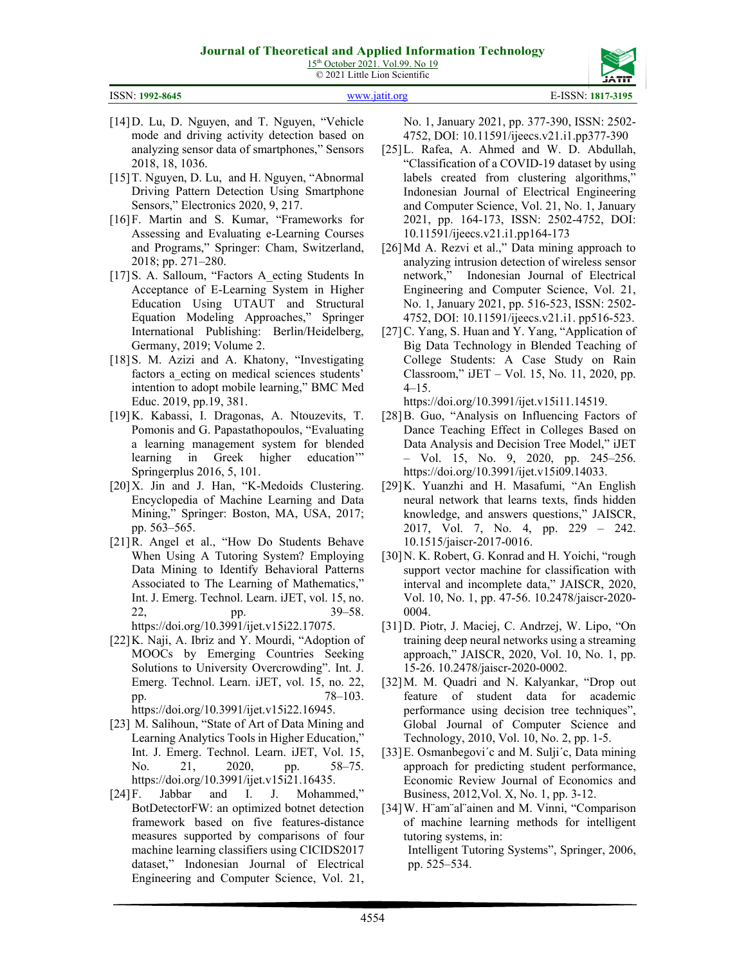15<sup>th</sup> October 2021. Vol.99. No 19 © 2021 Little Lion Scientific

ISSN: **1992-8645** [www.jatit.org](http://www.jatit.org/) E-ISSN: **1817-3195**

- [14] D. Lu, D. Nguyen, and T. Nguyen, "Vehicle mode and driving activity detection based on analyzing sensor data of smartphones," Sensors 2018, 18, 1036.
- [15]T. Nguyen, D. Lu, and H. Nguyen, "Abnormal Driving Pattern Detection Using Smartphone Sensors," Electronics 2020, 9, 217.
- [16]F. Martin and S. Kumar, "Frameworks for Assessing and Evaluating e-Learning Courses and Programs," Springer: Cham, Switzerland, 2018; pp. 271–280.
- [17] S. A. Salloum, "Factors A ecting Students In Acceptance of E-Learning System in Higher Education Using UTAUT and Structural Equation Modeling Approaches," Springer International Publishing: Berlin/Heidelberg, Germany, 2019; Volume 2.
- [18] S. M. Azizi and A. Khatony, "Investigating factors a ecting on medical sciences students' intention to adopt mobile learning," BMC Med Educ. 2019, pp.19, 381.
- [19]K. Kabassi, I. Dragonas, A. Ntouzevits, T. Pomonis and G. Papastathopoulos, "Evaluating a learning management system for blended learning in Greek higher education'" Springerplus 2016, 5, 101.
- [20] X. Jin and J. Han, "K-Medoids Clustering. Encyclopedia of Machine Learning and Data Mining," Springer: Boston, MA, USA, 2017; pp. 563–565.
- [21]R. Angel et al., "How Do Students Behave When Using A Tutoring System? Employing Data Mining to Identify Behavioral Patterns Associated to The Learning of Mathematics," Int. J. Emerg. Technol. Learn. iJET, vol. 15, no. 22, pp. 39–58. [https://doi.org/10.3991/ijet.v15i22.17075.](https://doi.org/10.3991/ijet.v15i22.17075)
- [22]K. Naji, A. Ibriz and Y. Mourdi, "Adoption of MOOCs by Emerging Countries Seeking Solutions to University Overcrowding". Int. J. Emerg. Technol. Learn. iJET, vol. 15, no. 22, pp. 78–103. [https://doi.org/10.3991/ijet.v15i22.16945.](https://doi.org/10.3991/ijet.v15i22.16945)
- [23] M. Salihoun, "State of Art of Data Mining and Learning Analytics Tools in Higher Education," Int. J. Emerg. Technol. Learn. iJET, Vol. 15, No. 21, 2020, pp. 58–75. [https://doi.org/10.3991/ijet.v15i21.16435.](https://doi.org/10.3991/ijet.v15i21.16435)
- [24]F. Jabbar and I. J. Mohammed," BotDetectorFW: an optimized botnet detection framework based on five features-distance measures supported by comparisons of four machine learning classifiers using CICIDS2017 dataset," Indonesian Journal of Electrical Engineering and Computer Science, Vol. 21,

No. 1, January 2021, pp. 377-390, ISSN: 2502- 4752, DOI: 10.11591/ijeecs.v21.i1.pp377-390

- [25]L. Rafea, A. Ahmed and W. D. Abdullah, "Classification of a COVID-19 dataset by using labels created from clustering algorithms," Indonesian Journal of Electrical Engineering and Computer Science, Vol. 21, No. 1, January 2021, pp. 164-173, ISSN: 2502-4752, DOI: 10.11591/ijeecs.v21.i1.pp164-173
- [26]Md A. Rezvi et al.," Data mining approach to analyzing intrusion detection of wireless sensor network," Indonesian Journal of Electrical Engineering and Computer Science, Vol. 21, No. 1, January 2021, pp. 516-523, ISSN: 2502- 4752, DOI: 10.11591/ijeecs.v21.i1. pp516-523.
- [27] C. Yang, S. Huan and Y. Yang, "Application of Big Data Technology in Blended Teaching of College Students: A Case Study on Rain Classroom," iJET ‒ Vol. 15, No. 11, 2020, pp. 4–15.

[https://doi.org/10.3991/ijet.v15i11.14519.](https://doi.org/10.3991/ijet.v15i11.14519)

- [28]B. Guo, "Analysis on Influencing Factors of Dance Teaching Effect in Colleges Based on Data Analysis and Decision Tree Model," iJET ‒ Vol. 15, No. 9, 2020, pp. 245–256. [https://doi.org/10.3991/ijet.v15i09.14033.](https://doi.org/10.3991/ijet.v15i09.14033)
- [29]K. Yuanzhi and H. Masafumi, "An English neural network that learns texts, finds hidden knowledge, and answers questions," JAISCR, 2017, Vol. 7, No. 4, pp. 229 – 242. 10.1515/jaiscr-2017-0016.
- [30]N. K. Robert, G. Konrad and H. Yoichi, "rough support vector machine for classification with interval and incomplete data," JAISCR, 2020, Vol. 10, No. 1, pp. 47-56. 10.2478/jaiscr-2020- 0004.
- [31]D. Piotr, J. Maciej, C. Andrzej, W. Lipo, "On training deep neural networks using a streaming approach," JAISCR, 2020, Vol. 10, No. 1, pp. 15-26. 10.2478/jaiscr-2020-0002.
- [32]M. M. Quadri and N. Kalyankar, "Drop out feature of student data for academic performance using decision tree techniques", Global Journal of Computer Science and Technology, 2010, Vol. 10, No. 2, pp. 1-5.
- [33] E. Osmanbegovi'c and M. Sulji'c, Data mining approach for predicting student performance, Economic Review Journal of Economics and Business, 2012,Vol. X, No. 1, pp. 3-12.
- [34]W. H¨am¨al¨ainen and M. Vinni, "Comparison of machine learning methods for intelligent tutoring systems, in: Intelligent Tutoring Systems", Springer, 2006, pp. 525–534.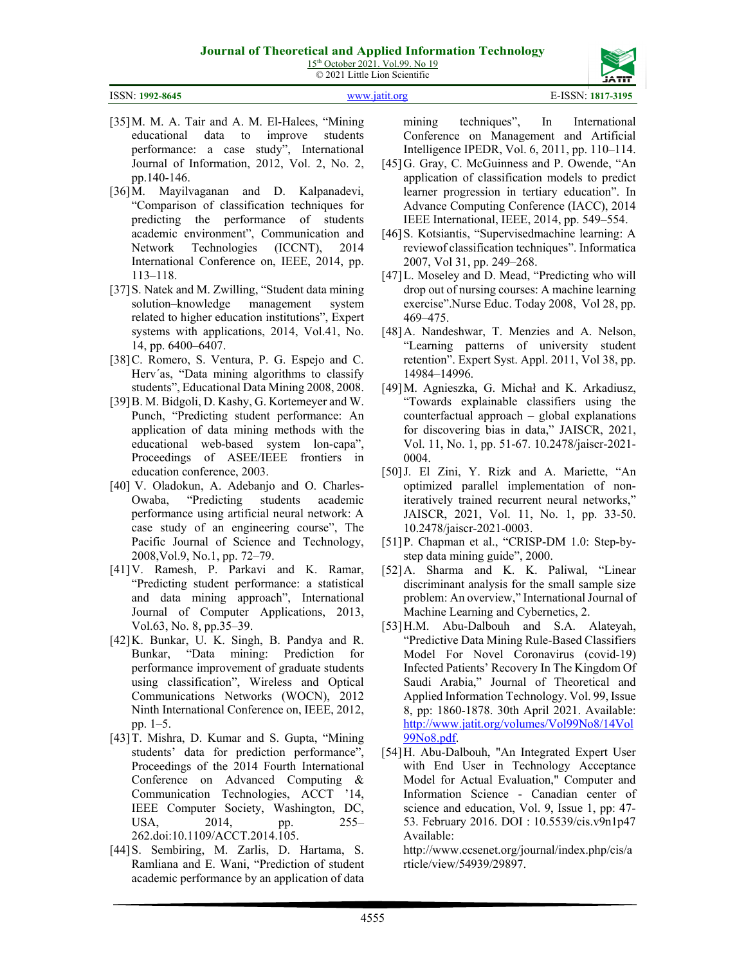15<sup>th</sup> October 2021. Vol.99. No 19 © 2021 Little Lion Scientific



pp.140-146.

113–118.

14, pp. 6400–6407.

education conference, 2003.

2008,Vol.9, No.1, pp. 72–79.

Vol.63, No. 8, pp.35–39.

pp. 1–5.

4555

mining techniques", In International Conference on Management and Artificial Intelligence IPEDR, Vol. 6, 2011, pp. 110–114.

- [45]G. Gray, C. McGuinness and P. Owende, "An application of classification models to predict learner progression in tertiary education". In Advance Computing Conference (IACC), 2014 IEEE International, IEEE, 2014, pp. 549–554.
- [46] S. Kotsiantis, "Supervisedmachine learning: A reviewof classification techniques". Informatica 2007, Vol 31, pp. 249–268.
- [47]L. Moseley and D. Mead, "Predicting who will drop out of nursing courses: A machine learning exercise".Nurse Educ. Today 2008, Vol 28, pp. 469–475.
- [48]A. Nandeshwar, T. Menzies and A. Nelson, "Learning patterns of university student retention". Expert Syst. Appl. 2011, Vol 38, pp. 14984–14996.
- [49]M. Agnieszka, G. Michał and K. Arkadiusz, "Towards explainable classifiers using the counterfactual approach – global explanations for discovering bias in data," JAISCR, 2021, Vol. 11, No. 1, pp. 51-67. 10.2478/jaiscr-2021- 0004.
- [50]J. El Zini, Y. Rizk and A. Mariette, "An optimized parallel implementation of noniteratively trained recurrent neural networks," JAISCR, 2021, Vol. 11, No. 1, pp. 33-50. 10.2478/jaiscr-2021-0003.
- [51]P. Chapman et al., "CRISP-DM 1.0: Step-bystep data mining guide", 2000.
- [52]A. Sharma and K. K. Paliwal, "Linear discriminant analysis for the small sample size problem: An overview," International Journal of Machine Learning and Cybernetics, 2.
- [53]H.M. Abu-Dalbouh and S.A. Alateyah, "Predictive Data Mining Rule-Based Classifiers Model For Novel Coronavirus (covid-19) Infected Patients' Recovery In The Kingdom Of Saudi Arabia," Journal of Theoretical and Applied Information Technology. Vol. 99, Issue 8, pp: 1860-1878. 30th April 2021. Available: [http://www.jatit.org/volumes/Vol99No8/14Vol](http://www.jatit.org/volumes/Vol99No8/14Vol99No8.pdf) [99No8.pdf.](http://www.jatit.org/volumes/Vol99No8/14Vol99No8.pdf)
- [54]H. Abu-Dalbouh, "An Integrated Expert User with End User in Technology Acceptance Model for Actual Evaluation," Computer and Information Science - Canadian center of science and education, Vol. 9, Issue 1, pp: 47- 53. February 2016. DOI : 10.5539/cis.v9n1p47 Available:

http://www.ccsenet.org/journal/index.php/cis/a rticle/view/54939/29897.

[35]M. M. A. Tair and A. M. El-Halees, "Mining educational data to improve students

performance: a case study", International Journal of Information, 2012, Vol. 2, No. 2,

[36]M. Mayilvaganan and D. Kalpanadevi, "Comparison of classification techniques for predicting the performance of students academic environment", Communication and Network Technologies (ICCNT), 2014 International Conference on, IEEE, 2014, pp.

[37] S. Natek and M. Zwilling, "Student data mining solution–knowledge management system related to higher education institutions", Expert systems with applications, 2014, Vol.41, No.

[38] C. Romero, S. Ventura, P. G. Espejo and C. Herv´as, "Data mining algorithms to classify students", Educational Data Mining 2008, 2008. [39]B. M. Bidgoli, D. Kashy, G. Kortemeyer and W. Punch, "Predicting student performance: An application of data mining methods with the educational web-based system lon-capa", Proceedings of ASEE/IEEE frontiers in

[40] V. Oladokun, A. Adebanjo and O. Charles-Owaba, "Predicting students academic performance using artificial neural network: A case study of an engineering course", The Pacific Journal of Science and Technology,

[41]V. Ramesh, P. Parkavi and K. Ramar, "Predicting student performance: a statistical and data mining approach", International Journal of Computer Applications, 2013,

[42]K. Bunkar, U. K. Singh, B. Pandya and R. Bunkar, "Data mining: Prediction for performance improvement of graduate students using classification", Wireless and Optical Communications Networks (WOCN), 2012 Ninth International Conference on, IEEE, 2012,

[43]T. Mishra, D. Kumar and S. Gupta, "Mining students' data for prediction performance", Proceedings of the 2014 Fourth International Conference on Advanced Computing & Communication Technologies, ACCT '14, IEEE Computer Society, Washington, DC, USA, 2014, pp. 255–

[44]S. Sembiring, M. Zarlis, D. Hartama, S. Ramliana and E. Wani, "Prediction of student academic performance by an application of data

262.doi:10.1109/ACCT.2014.105.